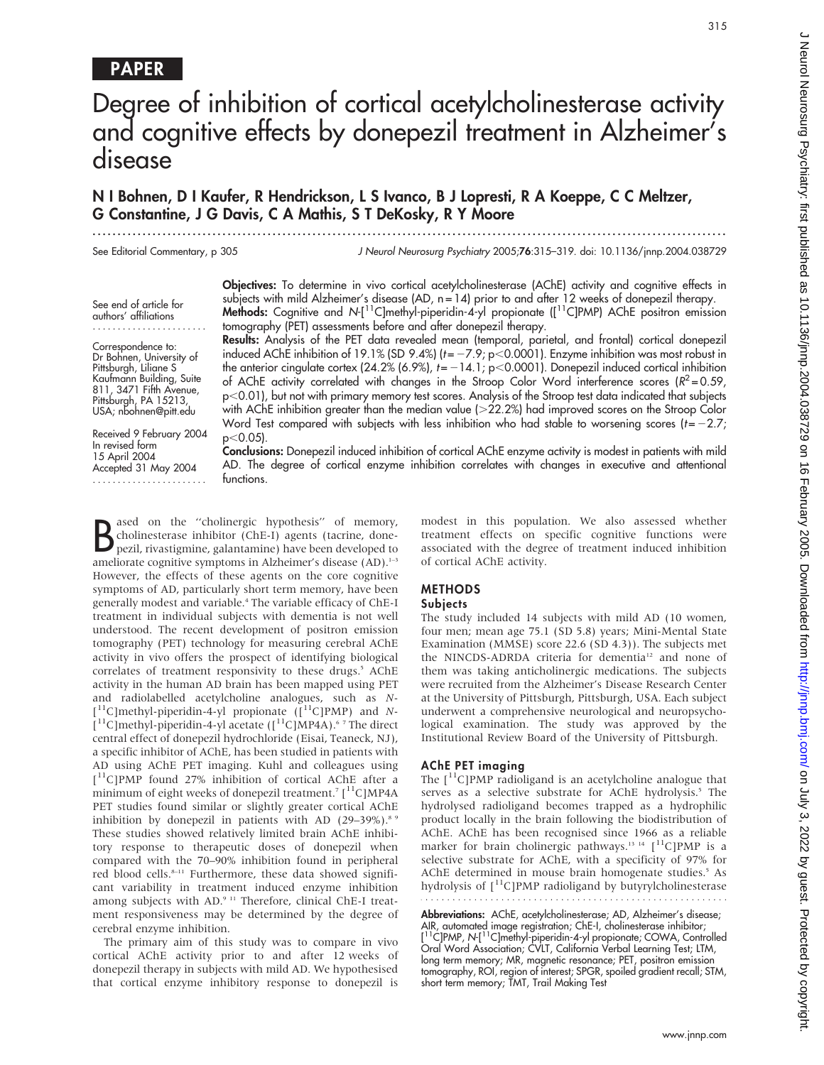# PAPER

# Degree of inhibition of cortical acetylcholinesterase activity and cognitive effects by donepezil treatment in Alzheimer's disease

N I Bohnen, D I Kaufer, R Hendrickson, L S Ivanco, B J Lopresti, R A Koeppe, C C Meltzer, G Constantine, J G Davis, C A Mathis, S T DeKosky, R Y Moore

...............................................................................................................................

See Editorial Commentary, p 305

J Neurol Neurosurg Psychiatry 2005;76:315–319. doi: 10.1136/jnnp.2004.038729

See end of article for authors' affiliations .......................

Correspondence to: Dr Bohnen, University of Pittsburgh, Liliane S Kaufmann Building, Suite 811, 3471 Fifth Avenue, Pittsburgh, PA 15213, USA; nbohnen@pitt.edu

Received 9 February 2004 In revised form 15 April 2004 Accepted 31 May 2004 .......................

Objectives: To determine in vivo cortical acetylcholinesterase (AChE) activity and cognitive effects in subjects with mild Alzheimer's disease (AD, n=14) prior to and after 12 weeks of donepezil therapy.<br>**Methods:** Cognitive and N-{<sup>11</sup>C]methyl-piperidin-4-yl propionate ([<sup>11</sup>C]PMP) AChE positron emission tomography (PET) assessments before and after donepezil therapy.

Results: Analysis of the PET data revealed mean (temporal, parietal, and frontal) cortical donepezil induced AChE inhibition of 19.1% (SD 9.4%) ( $t = -7.9$ ; p $<$ 0.0001). Enzyme inhibition was most robust in the anterior cingulate cortex (24.2% (6.9%),  $t = -14.1$ ; p $<$ 0.0001). Donepezil induced cortical inhibition of AChE activity correlated with changes in the Stroop Color Word interference scores  $(R^2 = 0.59)$ , p<0.01), but not with primary memory test scores. Analysis of the Stroop test data indicated that subjects with AChE inhibition greater than the median value (>22.2%) had improved scores on the Stroop Color Word Test compared with subjects with less inhibition who had stable to worsening scores ( $t = -2.7$ ;  $p<0.05$ ).

Conclusions: Donepezil induced inhibition of cortical AChE enzyme activity is modest in patients with mild AD. The degree of cortical enzyme inhibition correlates with changes in executive and attentional functions.

**B** ased on the "cholinergic hypothesis" of memory,<br>
cholinesterase inhibitor (ChE-I) agents (tacrine, done-<br>
piezil, rivastigmine, galantamine) have been developed to **ased** on the "cholinergic hypothesis" of memory, pezil, rivastigmine, galantamine) have been developed to ameliorate cognitive symptoms in Alzheimer's disease (AD).<sup>1-3</sup> However, the effects of these agents on the core cognitive symptoms of AD, particularly short term memory, have been generally modest and variable.4 The variable efficacy of ChE-I treatment in individual subjects with dementia is not well understood. The recent development of positron emission tomography (PET) technology for measuring cerebral AChE activity in vivo offers the prospect of identifying biological correlates of treatment responsivity to these drugs.<sup>5</sup> AChE activity in the human AD brain has been mapped using PET and radiolabelled acetylcholine analogues, such as N- [<sup>11</sup>C]methyl-piperidin-4-yl propionate ([<sup>11</sup>C]PMP) and N-[<sup>11</sup>C]methyl-piperidin-4-yl acetate ([<sup>11</sup>C]MP4A).<sup>67</sup> The direct central effect of donepezil hydrochloride (Eisai, Teaneck, NJ), a specific inhibitor of AChE, has been studied in patients with AD using AChE PET imaging. Kuhl and colleagues using [ 11C]PMP found 27% inhibition of cortical AChE after a minimum of eight weeks of donepezil treatment.<sup>7</sup> [<sup>11</sup>C]MP4A PET studies found similar or slightly greater cortical AChE inhibition by donepezil in patients with AD  $(29-39\%)$ .<sup>89</sup> These studies showed relatively limited brain AChE inhibitory response to therapeutic doses of donepezil when compared with the 70–90% inhibition found in peripheral red blood cells.<sup>8-11</sup> Furthermore, these data showed significant variability in treatment induced enzyme inhibition among subjects with AD.<sup>9 11</sup> Therefore, clinical ChE-I treatment responsiveness may be determined by the degree of cerebral enzyme inhibition.

The primary aim of this study was to compare in vivo cortical AChE activity prior to and after 12 weeks of donepezil therapy in subjects with mild AD. We hypothesised that cortical enzyme inhibitory response to donepezil is

modest in this population. We also assessed whether treatment effects on specific cognitive functions were associated with the degree of treatment induced inhibition of cortical AChE activity.

# METHODS

## **Subjects**

The study included 14 subjects with mild AD (10 women, four men; mean age 75.1 (SD 5.8) years; Mini-Mental State Examination (MMSE) score 22.6 (SD 4.3)). The subjects met the NINCDS-ADRDA criteria for dementia<sup>12</sup> and none of them was taking anticholinergic medications. The subjects were recruited from the Alzheimer's Disease Research Center at the University of Pittsburgh, Pittsburgh, USA. Each subject underwent a comprehensive neurological and neuropsychological examination. The study was approved by the Institutional Review Board of the University of Pittsburgh.

## AChE PET imaging

The  $[11C]$ PMP radioligand is an acetylcholine analogue that serves as a selective substrate for AChE hydrolysis.<sup>5</sup> The hydrolysed radioligand becomes trapped as a hydrophilic product locally in the brain following the biodistribution of AChE. AChE has been recognised since 1966 as a reliable marker for brain cholinergic pathways.<sup>13 14</sup> [<sup>11</sup>C]PMP is a selective substrate for AChE, with a specificity of 97% for AChE determined in mouse brain homogenate studies.<sup>5</sup> As hydrolysis of  $[{}^{11}C]PMP$  radioligand by butyrylcholinesterase

Abbreviations: AChE, acetylcholinesterase; AD, Alzheimer's disease; AIR, automated image registration; ChE-I, cholinesterase inhibitor; [ 11C]PMP, N-[11C]methyl-piperidin-4-yl propionate; COWA, Controlled Oral Word Association; CVLT, California Verbal Learning Test; LTM, long term memory; MR, magnetic resonance; PET, positron emission tomography, ROI, region of interest; SPGR, spoiled gradient recall; STM, short term memory; TMT, Trail Making Test

315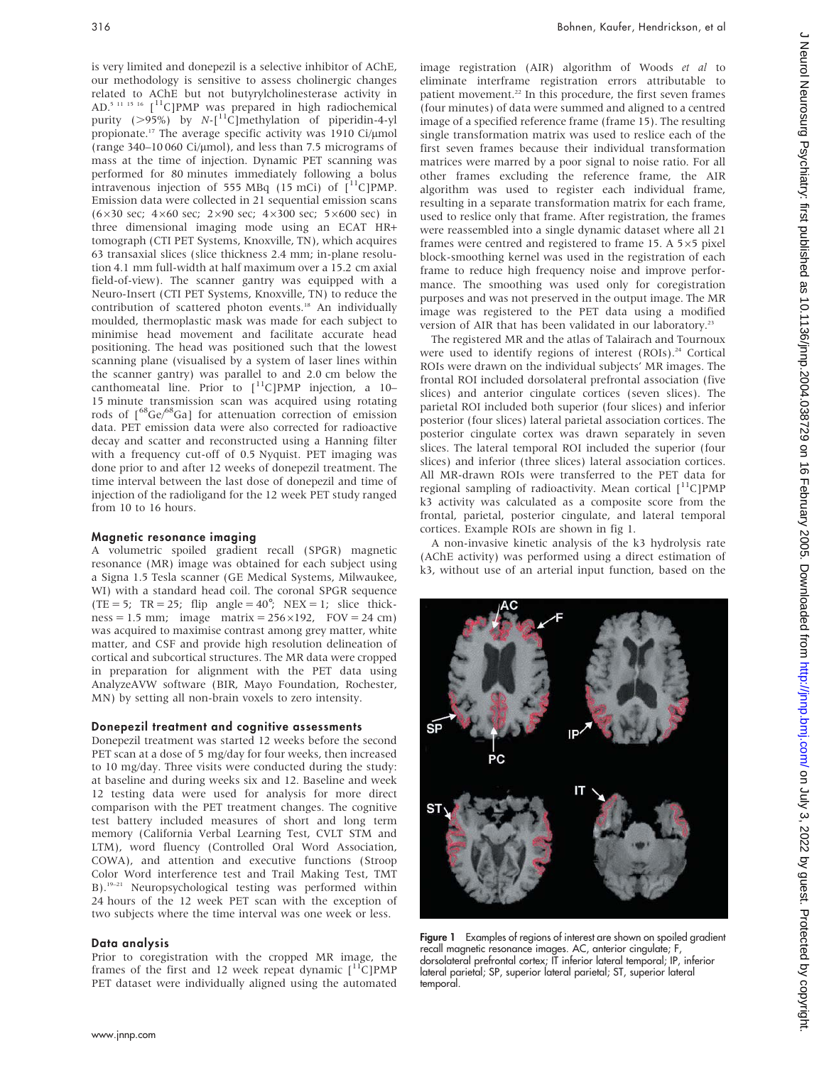is very limited and donepezil is a selective inhibitor of AChE, our methodology is sensitive to assess cholinergic changes related to AChE but not butyrylcholinesterase activity in AD.5 11 15 16 [ 11C]PMP was prepared in high radiochemical purity ( $>95\%$ ) by N-[<sup>11</sup>C]methylation of piperidin-4-yl propionate.<sup>17</sup> The average specific activity was 1910 Ci/µmol (range 340–10 060 Ci/ $\mu$ mol), and less than 7.5 micrograms of mass at the time of injection. Dynamic PET scanning was performed for 80 minutes immediately following a bolus intravenous injection of 555 MBq (15 mCi) of  $[^{11}C]PMP$ . Emission data were collected in 21 sequential emission scans (6×30 sec; 4×60 sec; 2×90 sec; 4×300 sec; 5×600 sec) in three dimensional imaging mode using an ECAT HR+ tomograph (CTI PET Systems, Knoxville, TN), which acquires 63 transaxial slices (slice thickness 2.4 mm; in-plane resolution 4.1 mm full-width at half maximum over a 15.2 cm axial field-of-view). The scanner gantry was equipped with a Neuro-Insert (CTI PET Systems, Knoxville, TN) to reduce the contribution of scattered photon events.<sup>18</sup> An individually moulded, thermoplastic mask was made for each subject to minimise head movement and facilitate accurate head positioning. The head was positioned such that the lowest scanning plane (visualised by a system of laser lines within the scanner gantry) was parallel to and 2.0 cm below the canthomeatal line. Prior to  $\int_1^1 C |PMP|$  injection, a 10-15 minute transmission scan was acquired using rotating rods of [68Ge/68Ga] for attenuation correction of emission data. PET emission data were also corrected for radioactive decay and scatter and reconstructed using a Hanning filter with a frequency cut-off of 0.5 Nyquist. PET imaging was done prior to and after 12 weeks of donepezil treatment. The time interval between the last dose of donepezil and time of injection of the radioligand for the 12 week PET study ranged from 10 to 16 hours.

#### Magnetic resonance imaging

A volumetric spoiled gradient recall (SPGR) magnetic resonance (MR) image was obtained for each subject using a Signa 1.5 Tesla scanner (GE Medical Systems, Milwaukee, WI) with a standard head coil. The coronal SPGR sequence (TE = 5; TR = 25; flip angle =  $40^{\circ}$ ; NEX = 1; slice thick $ness = 1.5$  mm; image matrix =  $256 \times 192$ , FOV = 24 cm) was acquired to maximise contrast among grey matter, white matter, and CSF and provide high resolution delineation of cortical and subcortical structures. The MR data were cropped in preparation for alignment with the PET data using AnalyzeAVW software (BIR, Mayo Foundation, Rochester, MN) by setting all non-brain voxels to zero intensity.

#### Donepezil treatment and cognitive assessments

Donepezil treatment was started 12 weeks before the second PET scan at a dose of 5 mg/day for four weeks, then increased to 10 mg/day. Three visits were conducted during the study: at baseline and during weeks six and 12. Baseline and week 12 testing data were used for analysis for more direct comparison with the PET treatment changes. The cognitive test battery included measures of short and long term memory (California Verbal Learning Test, CVLT STM and LTM), word fluency (Controlled Oral Word Association, COWA), and attention and executive functions (Stroop Color Word interference test and Trail Making Test, TMT B).<sup>19-21</sup> Neuropsychological testing was performed within 24 hours of the 12 week PET scan with the exception of two subjects where the time interval was one week or less.

### Data analysis

Prior to coregistration with the cropped MR image, the frames of the first and 12 week repeat dynamic  $\lceil$ <sup>11</sup>C]PMP PET dataset were individually aligned using the automated

image registration (AIR) algorithm of Woods et al to eliminate interframe registration errors attributable to patient movement.<sup>22</sup> In this procedure, the first seven frames (four minutes) of data were summed and aligned to a centred image of a specified reference frame (frame 15). The resulting single transformation matrix was used to reslice each of the first seven frames because their individual transformation matrices were marred by a poor signal to noise ratio. For all other frames excluding the reference frame, the AIR algorithm was used to register each individual frame, resulting in a separate transformation matrix for each frame, used to reslice only that frame. After registration, the frames were reassembled into a single dynamic dataset where all 21 frames were centred and registered to frame 15. A  $5\times5$  pixel block-smoothing kernel was used in the registration of each frame to reduce high frequency noise and improve performance. The smoothing was used only for coregistration purposes and was not preserved in the output image. The MR image was registered to the PET data using a modified version of AIR that has been validated in our laboratory.<sup>23</sup>

The registered MR and the atlas of Talairach and Tournoux were used to identify regions of interest  $(ROIs).<sup>24</sup>$  Cortical ROIs were drawn on the individual subjects' MR images. The frontal ROI included dorsolateral prefrontal association (five slices) and anterior cingulate cortices (seven slices). The parietal ROI included both superior (four slices) and inferior posterior (four slices) lateral parietal association cortices. The posterior cingulate cortex was drawn separately in seven slices. The lateral temporal ROI included the superior (four slices) and inferior (three slices) lateral association cortices. All MR-drawn ROIs were transferred to the PET data for regional sampling of radioactivity. Mean cortical  $[^{11}C]$ PMP k3 activity was calculated as a composite score from the frontal, parietal, posterior cingulate, and lateral temporal cortices. Example ROIs are shown in fig 1.

A non-invasive kinetic analysis of the k3 hydrolysis rate (AChE activity) was performed using a direct estimation of k3, without use of an arterial input function, based on the



Figure 1 Examples of regions of interest are shown on spoiled gradient recall magnetic resonance images. AC, anterior cingulate; F, dorsolateral prefrontal cortex; IT inferior lateral temporal; IP, inferior lateral parietal; SP, superior lateral parietal; ST, superior lateral temporal.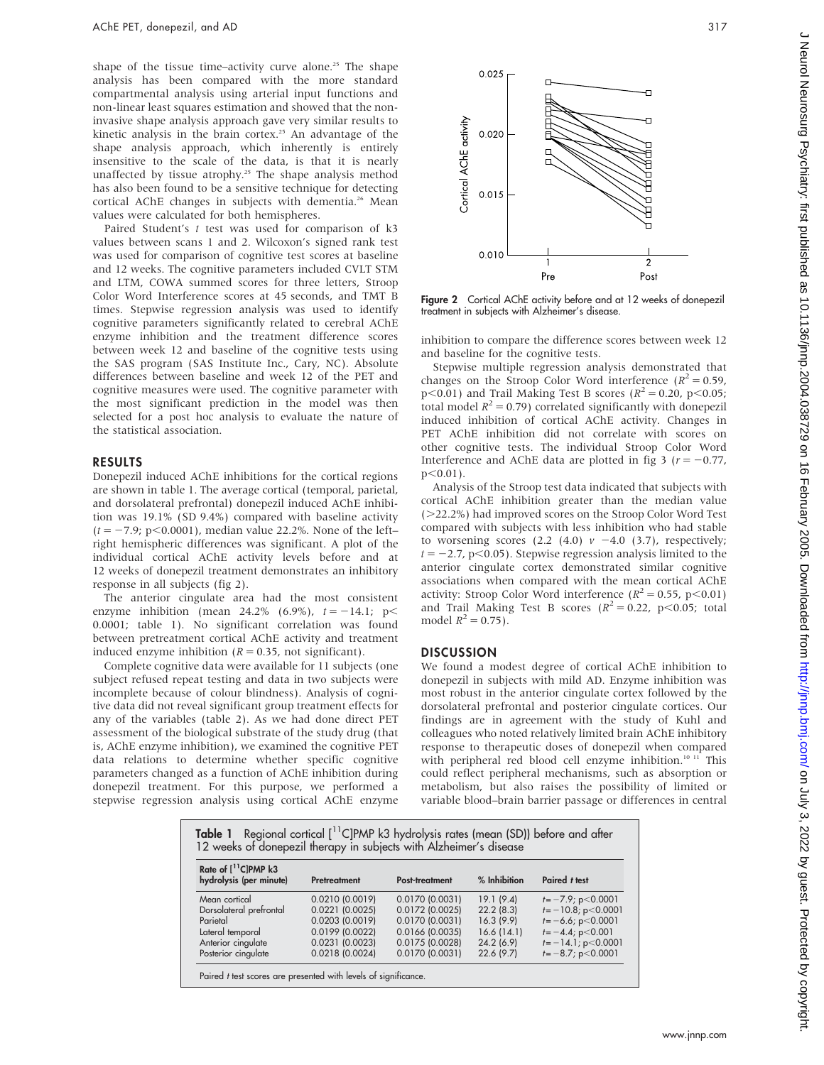shape of the tissue time–activity curve alone.<sup>25</sup> The shape analysis has been compared with the more standard compartmental analysis using arterial input functions and non-linear least squares estimation and showed that the noninvasive shape analysis approach gave very similar results to kinetic analysis in the brain cortex.<sup>25</sup> An advantage of the shape analysis approach, which inherently is entirely insensitive to the scale of the data, is that it is nearly unaffected by tissue atrophy.<sup>25</sup> The shape analysis method has also been found to be a sensitive technique for detecting cortical AChE changes in subjects with dementia.<sup>26</sup> Mean values were calculated for both hemispheres.

Paired Student's t test was used for comparison of k3 values between scans 1 and 2. Wilcoxon's signed rank test was used for comparison of cognitive test scores at baseline and 12 weeks. The cognitive parameters included CVLT STM and LTM, COWA summed scores for three letters, Stroop Color Word Interference scores at 45 seconds, and TMT B times. Stepwise regression analysis was used to identify cognitive parameters significantly related to cerebral AChE enzyme inhibition and the treatment difference scores between week 12 and baseline of the cognitive tests using the SAS program (SAS Institute Inc., Cary, NC). Absolute differences between baseline and week 12 of the PET and cognitive measures were used. The cognitive parameter with the most significant prediction in the model was then selected for a post hoc analysis to evaluate the nature of the statistical association.

#### RESULTS

Donepezil induced AChE inhibitions for the cortical regions are shown in table 1. The average cortical (temporal, parietal, and dorsolateral prefrontal) donepezil induced AChE inhibition was 19.1% (SD 9.4%) compared with baseline activity  $(t = -7.9; p<0.0001)$ , median value 22.2%. None of the left– right hemispheric differences was significant. A plot of the individual cortical AChE activity levels before and at 12 weeks of donepezil treatment demonstrates an inhibitory response in all subjects (fig 2).

The anterior cingulate area had the most consistent enzyme inhibition (mean 24.2% (6.9%),  $t = -14.1$ ; p< 0.0001; table 1). No significant correlation was found between pretreatment cortical AChE activity and treatment induced enzyme inhibition ( $R = 0.35$ , not significant).

Complete cognitive data were available for 11 subjects (one subject refused repeat testing and data in two subjects were incomplete because of colour blindness). Analysis of cognitive data did not reveal significant group treatment effects for any of the variables (table 2). As we had done direct PET assessment of the biological substrate of the study drug (that is, AChE enzyme inhibition), we examined the cognitive PET data relations to determine whether specific cognitive parameters changed as a function of AChE inhibition during donepezil treatment. For this purpose, we performed a stepwise regression analysis using cortical AChE enzyme



Figure 2 Cortical AChE activity before and at 12 weeks of donepezil treatment in subjects with Alzheimer's disease.

inhibition to compare the difference scores between week 12 and baseline for the cognitive tests.

Stepwise multiple regression analysis demonstrated that changes on the Stroop Color Word interference  $(R^2 = 0.59)$ .  $p$ <0.01) and Trail Making Test B scores ( $R^2$  = 0.20, p<0.05; total model  $R^2 = 0.79$ ) correlated significantly with donepezil induced inhibition of cortical AChE activity. Changes in PET AChE inhibition did not correlate with scores on other cognitive tests. The individual Stroop Color Word Interference and AChE data are plotted in fig 3 ( $r = -0.77$ ,  $p<0.01$ ).

Analysis of the Stroop test data indicated that subjects with cortical AChE inhibition greater than the median value ( $>$ 22.2%) had improved scores on the Stroop Color Word Test compared with subjects with less inhibition who had stable to worsening scores (2.2 (4.0)  $v -4.0$  (3.7), respectively;  $t = -2.7$ , p $< 0.05$ ). Stepwise regression analysis limited to the anterior cingulate cortex demonstrated similar cognitive associations when compared with the mean cortical AChE activity: Stroop Color Word interference ( $R^2 = 0.55$ , p $\leq 0.01$ ) and Trail Making Test B scores ( $R^2 = 0.22$ , p<0.05; total model  $R^2 = 0.75$ ).

#### **DISCUSSION**

We found a modest degree of cortical AChE inhibition to donepezil in subjects with mild AD. Enzyme inhibition was most robust in the anterior cingulate cortex followed by the dorsolateral prefrontal and posterior cingulate cortices. Our findings are in agreement with the study of Kuhl and colleagues who noted relatively limited brain AChE inhibitory response to therapeutic doses of donepezil when compared with peripheral red blood cell enzyme inhibition.<sup>10 11</sup> This could reflect peripheral mechanisms, such as absorption or metabolism, but also raises the possibility of limited or variable blood–brain barrier passage or differences in central

**Table 1** Regional cortical  $\begin{bmatrix} 1 & 1 \end{bmatrix}$ C]PMP k3 hydrolysis rates (mean (SD)) before and after 12 weeks of donepezil therapy in subjects with Alzheimer's disease

| Rate of [ <sup>11</sup> C]PMP k3<br>hydrolysis (per minute)     | <b>Pretreatment</b> | Post-treatment  | % Inhibition | Paired t test           |
|-----------------------------------------------------------------|---------------------|-----------------|--------------|-------------------------|
| Mean cortical                                                   | 0.0210 (0.0019)     | 0.0170 (0.0031) | 19.1(9.4)    | $t=-7.9$ ; p $<$ 0.0001 |
| Dorsolateral prefrontal                                         | 0.0221 (0.0025)     | 0.0172 (0.0025) | 22.2(8.3)    | $t=-10.8; p<0.0001$     |
| Parietal                                                        | 0.0203(0.0019)      | 0.0170 (0.0031) | 16.3(9.9)    | $t=-6.6; p<0.0001$      |
| Lateral temporal                                                | 0.0199 (0.0022)     | 0.0166 (0.0035) | 16.6(14.1)   | $t=-4.4$ ; p<0.001      |
| Anterior cinqulate                                              | 0.0231 (0.0023)     | 0.0175 (0.0028) | 24.2 (6.9)   | $t=-14.1; p<0.0001$     |
| Posterior cinqulate                                             | 0.0218 (0.0024)     | 0.0170 (0.0031) | 22.6(9.7)    | $t=-8.7; p<0.0001$      |
| Paired t test scores are presented with levels of significance. |                     |                 |              |                         |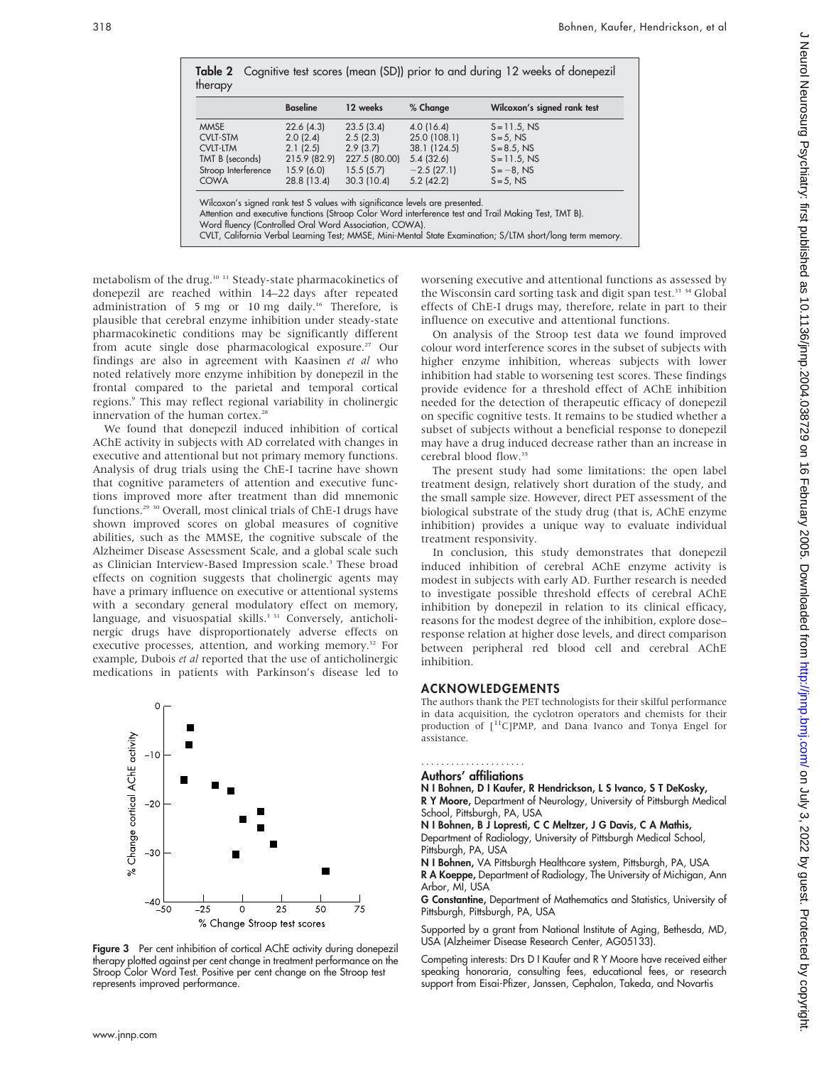|                     | <b>Baseline</b> | 12 weeks      | % Change     | Wilcoxon's signed rank test |
|---------------------|-----------------|---------------|--------------|-----------------------------|
| <b>MMSE</b>         | 22.6(4.3)       | 23.5(3.4)     | 4.0(16.4)    | $S = 11.5$ , NS             |
| <b>CVLT-STM</b>     | 2.0(2.4)        | 2.5(2.3)      | 25.0 (108.1) | $S = 5$ , NS                |
| <b>CVLT-LTM</b>     | 2.1(2.5)        | 2.9(3.7)      | 38.1 (124.5) | $S = 8.5$ , NS              |
| TMT B (seconds)     | 215.9 (82.9)    | 227.5 (80.00) | 5.4(32.6)    | $S = 11.5$ , NS             |
| Stroop Interference | 15.9(6.0)       | 15.5(5.7)     | $-2.5(27.1)$ | $S = -8$ . NS               |
| <b>COWA</b>         | 28.8 (13.4)     | 30.3(10.4)    | 5.2(42.2)    | $S = 5$ , NS                |

CVLT, California Verbal Learning Test; MMSE, Mini-Mental State Examination; S/LTM short/long term memory.

metabolism of the drug.10 11 Steady-state pharmacokinetics of donepezil are reached within 14–22 days after repeated administration of 5 mg or 10 mg daily.<sup>16</sup> Therefore, is plausible that cerebral enzyme inhibition under steady-state pharmacokinetic conditions may be significantly different from acute single dose pharmacological exposure.<sup>27</sup> Our findings are also in agreement with Kaasinen et al who noted relatively more enzyme inhibition by donepezil in the frontal compared to the parietal and temporal cortical regions.<sup>9</sup> This may reflect regional variability in cholinergic innervation of the human cortex.<sup>28</sup>

We found that donepezil induced inhibition of cortical AChE activity in subjects with AD correlated with changes in executive and attentional but not primary memory functions. Analysis of drug trials using the ChE-I tacrine have shown that cognitive parameters of attention and executive functions improved more after treatment than did mnemonic functions.29 30 Overall, most clinical trials of ChE-I drugs have shown improved scores on global measures of cognitive abilities, such as the MMSE, the cognitive subscale of the Alzheimer Disease Assessment Scale, and a global scale such as Clinician Interview-Based Impression scale.<sup>3</sup> These broad effects on cognition suggests that cholinergic agents may have a primary influence on executive or attentional systems with a secondary general modulatory effect on memory, language, and visuospatial skills.<sup>3 31</sup> Conversely, anticholinergic drugs have disproportionately adverse effects on executive processes, attention, and working memory.<sup>32</sup> For example, Dubois et al reported that the use of anticholinergic medications in patients with Parkinson's disease led to



Figure 3 Per cent inhibition of cortical AChE activity during donepezil therapy plotted against per cent change in treatment performance on the Stroop Color Word Test. Positive per cent change on the Stroop test represents improved performance.

worsening executive and attentional functions as assessed by the Wisconsin card sorting task and digit span test.<sup>33 34</sup> Global effects of ChE-I drugs may, therefore, relate in part to their influence on executive and attentional functions.

On analysis of the Stroop test data we found improved colour word interference scores in the subset of subjects with higher enzyme inhibition, whereas subjects with lower inhibition had stable to worsening test scores. These findings provide evidence for a threshold effect of AChE inhibition needed for the detection of therapeutic efficacy of donepezil on specific cognitive tests. It remains to be studied whether a subset of subjects without a beneficial response to donepezil may have a drug induced decrease rather than an increase in cerebral blood flow.35

The present study had some limitations: the open label treatment design, relatively short duration of the study, and the small sample size. However, direct PET assessment of the biological substrate of the study drug (that is, AChE enzyme inhibition) provides a unique way to evaluate individual treatment responsivity.

In conclusion, this study demonstrates that donepezil induced inhibition of cerebral AChE enzyme activity is modest in subjects with early AD. Further research is needed to investigate possible threshold effects of cerebral AChE inhibition by donepezil in relation to its clinical efficacy, reasons for the modest degree of the inhibition, explore dose– response relation at higher dose levels, and direct comparison between peripheral red blood cell and cerebral AChE inhibition.

#### ACKNOWLEDGEMENTS

The authors thank the PET technologists for their skilful performance in data acquisition, the cyclotron operators and chemists for their production of  $[$ <sup>11</sup>C]PMP, and Dana Ivanco and Tonya Engel for assistance.

#### Authors' affiliations .....................

#### N I Bohnen, D I Kaufer, R Hendrickson, L S Ivanco, S T DeKosky,

R Y Moore, Department of Neurology, University of Pittsburgh Medical School, Pittsburgh, PA, USA

N I Bohnen, B J Lopresti, C C Meltzer, J G Davis, C A Mathis, Department of Radiology, University of Pittsburgh Medical School,

Pittsburgh, PA, USA

N I Bohnen, VA Pittsburgh Healthcare system, Pittsburgh, PA, USA R A Koeppe, Department of Radiology, The University of Michigan, Ann Arbor, MI, USA

G Constantine, Department of Mathematics and Statistics, University of Pittsburgh, Pittsburgh, PA, USA

Supported by a grant from National Institute of Aging, Bethesda, MD, USA (Alzheimer Disease Research Center, AG05133).

Competing interests: Drs D I Kaufer and R Y Moore have received either speaking honoraria, consulting fees, educational fees, or research support from Eisai-Pfizer, Janssen, Cephalon, Takeda, and Novartis